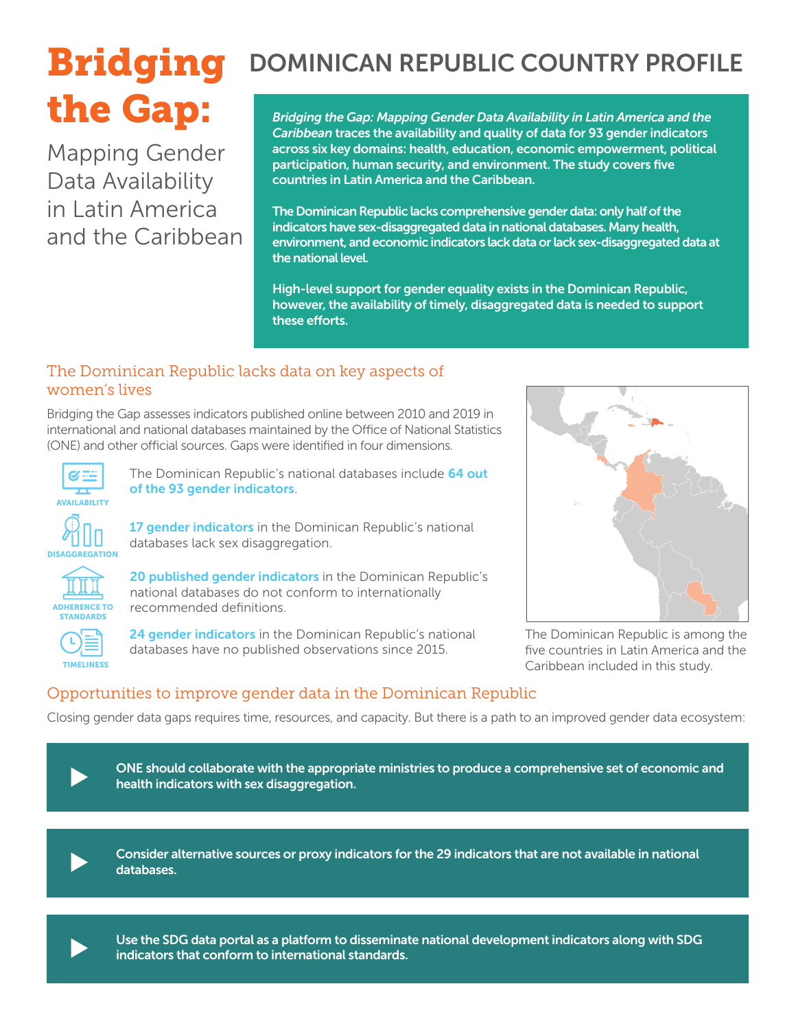# the Gap:

Mapping Gender Data Availability in Latin America and the Caribbean

# **Bridging** DOMINICAN REPUBLIC COUNTRY PROFILE

*Bridging the Gap: Mapping Gender Data Availability in Latin America and the Caribbean* traces the availability and quality of data for 93 gender indicators across six key domains: health, education, economic empowerment, political participation, human security, and environment. The study covers five countries in Latin America and the Caribbean.

The Dominican Republic lacks comprehensive gender data: only half of the indicators have sex-disaggregated data in national databases. Many health, environment, and economic indicators lack data or lack sex-disaggregated data at the national level.

High-level support for gender equality exists in the Dominican Republic, however, the availability of timely, disaggregated data is needed to support these efforts.

#### The Dominican Republic lacks data on key aspects of women's lives

Bridging the Gap assesses indicators published online between 2010 and 2019 in international and national databases maintained by the Office of National Statistics (ONE) and other official sources. Gaps were identified in four dimensions.



The Dominican Republic's national databases include 64 out of the 93 gender indicators.

17 gender indicators in the Dominican Republic's national databases lack sex disaggregation.



STANDARDS

**DISAGGREGATION** 

20 published gender indicators in the Dominican Republic's national databases do not conform to internationally recommended definitions.



24 gender indicators in the Dominican Republic's national databases have no published observations since 2015.



The Dominican Republic is among the five countries in Latin America and the Caribbean included in this study.

# Opportunities to improve gender data in the Dominican Republic

Closing gender data gaps requires time, resources, and capacity. But there is a path to an improved gender data ecosystem:

ONE should collaborate with the appropriate ministries to produce a comprehensive set of economic and<br>health indicators with sex disaggregation.



Consider alternative sources or proxy indicators for the 29 indicators that are not available in national databases.



Use the SDG data portal as a platform to disseminate national development indicators along with SDG indicators that conform to international standards.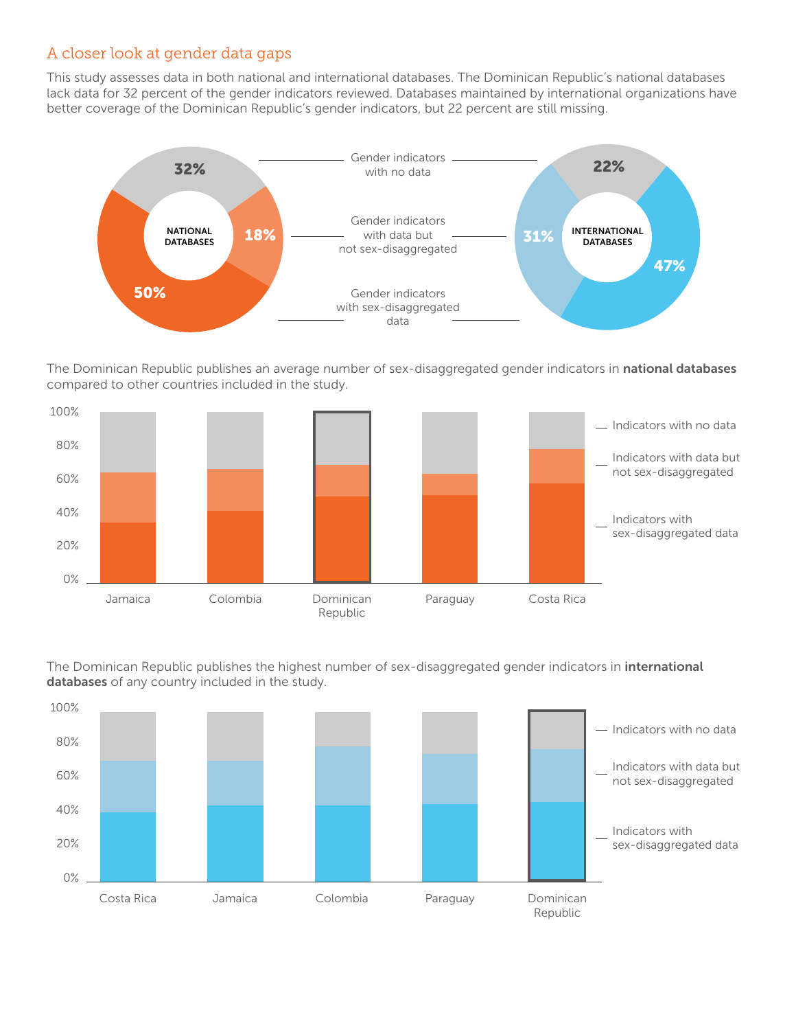#### A closer look at gender data gaps

This study assesses data in both national and international databases. The Dominican Republic's national databases lack data for 32 percent of the gender indicators reviewed. Databases maintained by international organizations have better coverage of the Dominican Republic's gender indicators, but 22 percent are still missing.



The Dominican Republic publishes an average number of sex-disaggregated gender indicators in national databases compared to other countries included in the study.



Inc Bommean Repadue paddened in management The Dominican Republic publishes the highest number of sex-disaggregated gender indicators in international

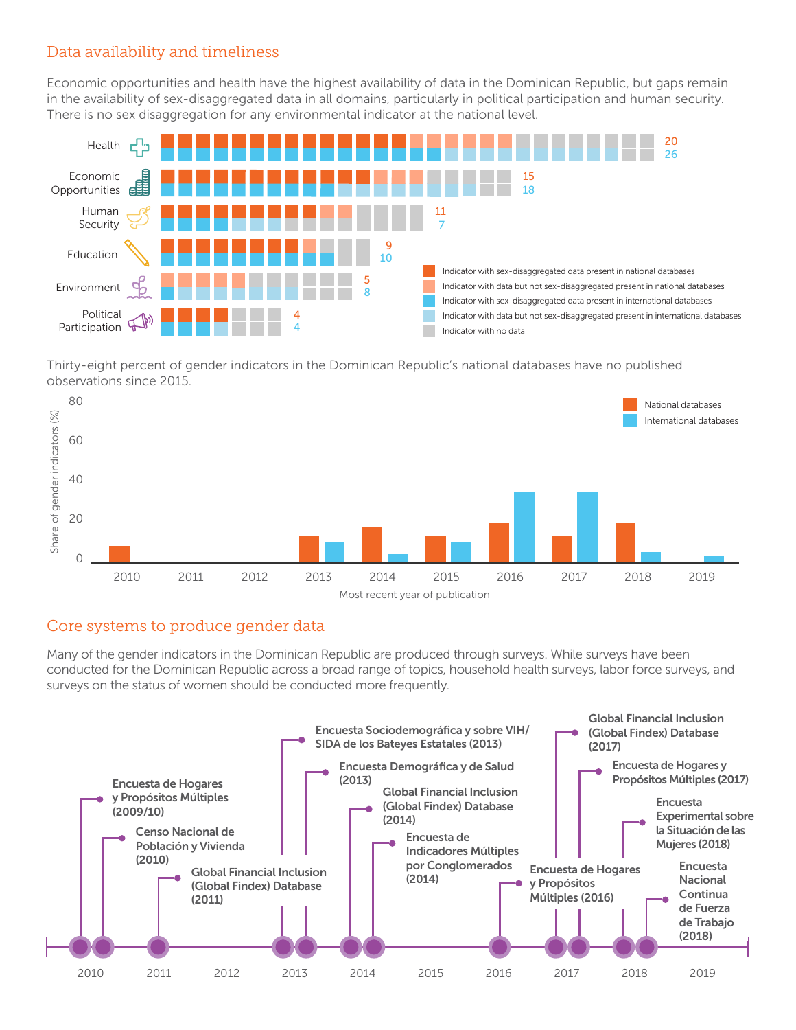#### Data availability and timeliness

Economic opportunities and health have the highest availability of data in the Dominican Republic, but gaps remain in the availability of sex-disaggregated data in all domains, particularly in political participation and human security. There is no sex disaggregation for any environmental indicator at the national level.



Thirty-eight percent of gender indicators in the Dominican Republic's national databases have no published observations since 2015.



#### Core systems to produce gender data

Many of the gender indicators in the Dominican Republic are produced through surveys. While surveys have been conducted for the Dominican Republic across a broad range of topics, household health surveys, labor force surveys, and surveys on the status of women should be conducted more frequently.